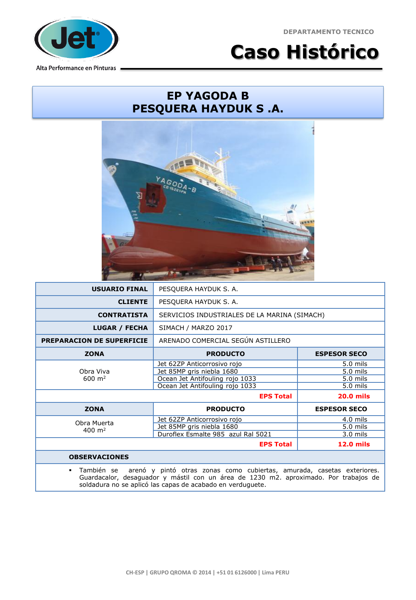**DEPARTAMENTO TECNICO**



**Caso Histórico**

## **EP YAGODA B PESQUERA HAYDUK S .A.**



| <b>USUARIO FINAL</b>                                                                                                                                                                           | PESQUERA HAYDUK S. A.                        |                     |  |
|------------------------------------------------------------------------------------------------------------------------------------------------------------------------------------------------|----------------------------------------------|---------------------|--|
| <b>CLIENTE</b>                                                                                                                                                                                 | PESQUERA HAYDUK S. A.                        |                     |  |
| <b>CONTRATISTA</b>                                                                                                                                                                             | SERVICIOS INDUSTRIALES DE LA MARINA (SIMACH) |                     |  |
| <b>LUGAR / FECHA</b>                                                                                                                                                                           | SIMACH / MARZO 2017                          |                     |  |
| <b>PREPARACION DE SUPERFICIE</b>                                                                                                                                                               | ARENADO COMERCIAL SEGÚN ASTILLERO            |                     |  |
| <b>ZONA</b>                                                                                                                                                                                    | <b>PRODUCTO</b>                              | <b>ESPESOR SECO</b> |  |
| Obra Viva<br>$600 \; \text{m}^2$                                                                                                                                                               | Jet 62ZP Anticorrosivo rojo                  | 5.0 mils            |  |
|                                                                                                                                                                                                | Jet 85MP gris niebla 1680                    | 5.0 mils            |  |
|                                                                                                                                                                                                | Ocean Jet Antifouling rojo 1033              | 5.0 mils            |  |
|                                                                                                                                                                                                | Ocean Jet Antifouling rojo 1033              | 5.0 mils            |  |
| <b>EPS Total</b><br><b>20.0 mils</b>                                                                                                                                                           |                                              |                     |  |
| <b>ZONA</b>                                                                                                                                                                                    | <b>PRODUCTO</b>                              | <b>ESPESOR SECO</b> |  |
| Obra Muerta<br>$400 \; \text{m}^2$                                                                                                                                                             | Jet 62ZP Anticorrosivo rojo                  | $4.0$ mils          |  |
|                                                                                                                                                                                                | Jet 85MP gris niebla 1680                    | 5.0 mils            |  |
|                                                                                                                                                                                                | Duroflex Esmalte 985 azul Ral 5021           | $3.0$ mils          |  |
|                                                                                                                                                                                                | <b>EPS Total</b>                             | <b>12.0 mils</b>    |  |
| <b>OBSERVACIONES</b>                                                                                                                                                                           |                                              |                     |  |
| También se<br>arenó y pintó otras zonas como cubiertas, amurada, casetas exteriores.<br>$\blacksquare$<br>Guardacalor, desaguador y mástil con un área de 1230 m2. aproximado. Por trabajos de |                                              |                     |  |

soldadura no se aplicó las capas de acabado en verduguete.